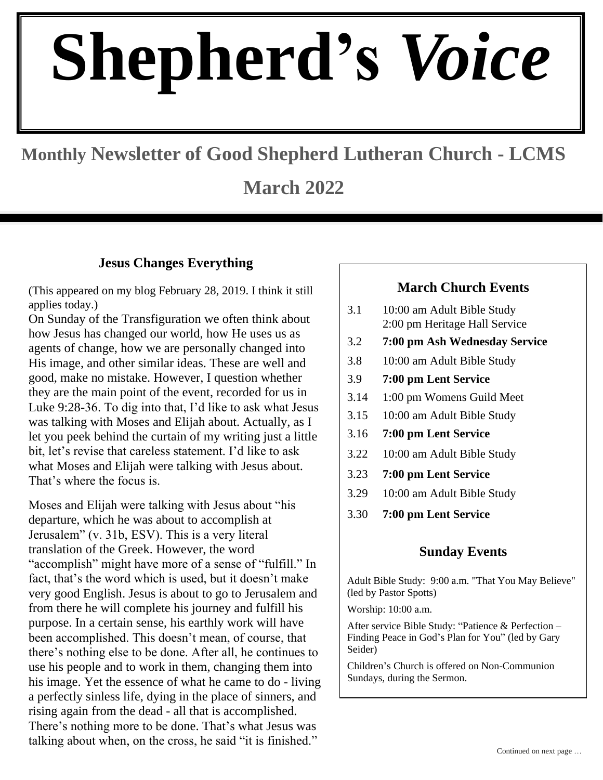# **Shepherd's** *Voice*

## **Monthly Newsletter of Good Shepherd Lutheran Church - LCMS**

**March 2022**

#### **Jesus Changes Everything**

(This appeared on my blog February 28, 2019. I think it still applies today.)

On Sunday of the Transfiguration we often think about how Jesus has changed our world, how He uses us as agents of change, how we are personally changed into His image, and other similar ideas. These are well and good, make no mistake. However, I question whether they are the main point of the event, recorded for us in Luke 9:28-36. To dig into that, I'd like to ask what Jesus was talking with Moses and Elijah about. Actually, as I let you peek behind the curtain of my writing just a little bit, let's revise that careless statement. I'd like to ask what Moses and Elijah were talking with Jesus about. That's where the focus is.

Moses and Elijah were talking with Jesus about "his departure, which he was about to accomplish at Jerusalem" (v. 31b, ESV). This is a very literal translation of the Greek. However, the word "accomplish" might have more of a sense of "fulfill." In fact, that's the word which is used, but it doesn't make very good English. Jesus is about to go to Jerusalem and from there he will complete his journey and fulfill his purpose. In a certain sense, his earthly work will have been accomplished. This doesn't mean, of course, that there's nothing else to be done. After all, he continues to use his people and to work in them, changing them into his image. Yet the essence of what he came to do - living a perfectly sinless life, dying in the place of sinners, and rising again from the dead - all that is accomplished. There's nothing more to be done. That's what Jesus was talking about when, on the cross, he said "it is finished."

#### **March Church Events**

- 3.1 10:00 am Adult Bible Study 2:00 pm Heritage Hall Service
- 3.2 **7:00 pm Ash Wednesday Service**  $3.2$ <br> $3.8$
- 10:00 am Adult Bible Study
- 3.9 **7:00 pm Lent Service**
- 3.14 1:00 pm Womens Guild Meet
- 3.15 10:00 am Adult Bible Study
- 3.16 **7:00 pm Lent Service**
- 3.22 10:00 am Adult Bible Study
- 3.23 **7:00 pm Lent Service**
- 3.29 10:00 am Adult Bible Study
- 3.30 **7:00 pm Lent Service**

#### **Sunday Events**

Adult Bible Study: 9:00 a.m. "That You May Believe" (led by Pastor Spotts)

Worship: 10:00 a.m.

After service Bible Study: "Patience & Perfection – Finding Peace in God's Plan for You" (led by Gary Seider)

Children's Church is offered on Non-Communion Sundays, during the Sermon.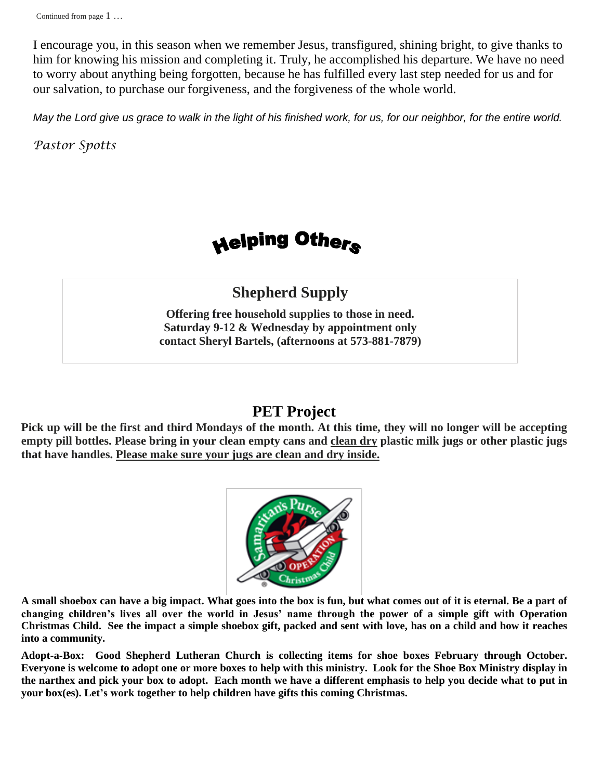Continued on next page … I encourage you, in this season when we remember Jesus, transfigured, shining bright, to give thanks to him for knowing his mission and completing it. Truly, he accomplished his departure. We have no need to worry about anything being forgotten, because he has fulfilled every last step needed for us and for our salvation, to purchase our forgiveness, and the forgiveness of the whole world.

*May the Lord give us grace to walk in the light of his finished work, for us, for our neighbor, for the entire world.*

*Pastor Spotts*

## Helping Others

### **Shepherd Supply**

**Offering free household supplies to those in need. Saturday 9-12 & Wednesday by appointment only contact Sheryl Bartels, (afternoons at 573-881-7879)**

#### **PET Project**

**Pick up will be the first and third Mondays of the month. At this time, they will no longer will be accepting empty pill bottles. Please bring in your clean empty cans and clean dry plastic milk jugs or other plastic jugs that have handles. Please make sure your jugs are clean and dry inside.**



**A small shoebox can have a big impact. What goes into the box is fun, but what comes out of it is eternal. Be a part of changing children's lives all over the world in Jesus' name through the power of a simple gift with Operation Christmas Child. See the impact a simple shoebox gift, packed and sent with love, has on a child and how it reaches into a community.** 

**Adopt-a-Box: Good Shepherd Lutheran Church is collecting items for shoe boxes February through October. Everyone is welcome to adopt one or more boxes to help with this ministry. Look for the Shoe Box Ministry display in the narthex and pick your box to adopt. Each month we have a different emphasis to help you decide what to put in your box(es). Let's work together to help children have gifts this coming Christmas.**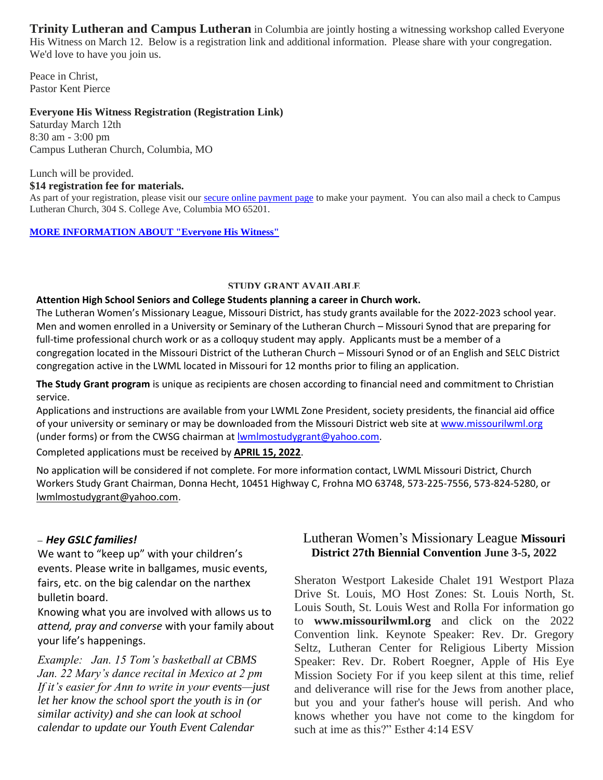**Trinity Lutheran and Campus Lutheran** in Columbia are jointly hosting a witnessing workshop called Everyone His Witness on March 12. Below is a registration link and additional information. Please share with your congregation. We'd love to have you join us.

Peace in Christ, Pastor Kent Pierce

#### **Everyone His Witness Registration (Registration Link)**

Saturday March 12th 8:30 am - 3:00 pm Campus Lutheran Church, Columbia, MO

Lunch will be provided.

#### **\$14 registration fee for materials.**

As part of your registration, please visit our [secure online payment page](https://secure.myvanco.com/YKMA/campaign/C-11TNC) to make your payment. You can also mail a check to Campus Lutheran Church, 304 S. College Ave, Columbia MO 65201.

#### **[MORE INFORMATION ABOUT "Everyone His Witness"](https://www.lcms.org/how-we-serve/national/witness-and-outreach-ministry)**

#### **STUDY GRANT AVAILABLE**

#### **Attention High School Seniors and College Students planning a career in Church work.**

The Lutheran Women's Missionary League, Missouri District, has study grants available for the 2022-2023 school year. Men and women enrolled in a University or Seminary of the Lutheran Church – Missouri Synod that are preparing for full-time professional church work or as a colloquy student may apply. Applicants must be a member of a congregation located in the Missouri District of the Lutheran Church – Missouri Synod or of an English and SELC District congregation active in the LWML located in Missouri for 12 months prior to filing an application.

**The Study Grant program** is unique as recipients are chosen according to financial need and commitment to Christian service.

Applications and instructions are available from your LWML Zone President, society presidents, the financial aid office of your university or seminary or may be downloaded from the Missouri District web site a[t www.missourilwml.org](http://www.missourilwml.org/) (under forms) or from the CWSG chairman at [lwmlmostudygrant@yahoo.com.](mailto:lwmlmostudygrant@yahoo.com)

Completed applications must be received by **APRIL 15, 2022**.

No application will be considered if not complete. For more information contact, LWML Missouri District, Church Workers Study Grant Chairman, Donna Hecht, 10451 Highway C, Frohna MO 63748, 573-225-7556, 573-824-5280, or lwmlmostudygrant@yahoo.com.

#### **–** *Hey GSLC families!*

We want to "keep up" with your children's events. Please write in ballgames, music events, fairs, etc. on the big calendar on the narthex bulletin board.

Knowing what you are involved with allows us to *attend, pray and converse* with your family about your life's happenings.

*Example: Jan. 15 Tom's basketball at CBMS Jan. 22 Mary's dance recital in Mexico at 2 pm If it's easier for Ann to write in your events—just let her know the school sport the youth is in (or similar activity) and she can look at school calendar to update our Youth Event Calendar*

#### Lutheran Women's Missionary League **Missouri District 27th Biennial Convention June 3-5, 2022**

Sheraton Westport Lakeside Chalet 191 Westport Plaza Drive St. Louis, MO Host Zones: St. Louis North, St. Louis South, St. Louis West and Rolla For information go to **www.missourilwml.org** and click on the 2022 Convention link. Keynote Speaker: Rev. Dr. Gregory Seltz, Lutheran Center for Religious Liberty Mission Speaker: Rev. Dr. Robert Roegner, Apple of His Eye Mission Society For if you keep silent at this time, relief and deliverance will rise for the Jews from another place, but you and your father's house will perish. And who knows whether you have not come to the kingdom for such at ime as this?" Esther 4:14 ESV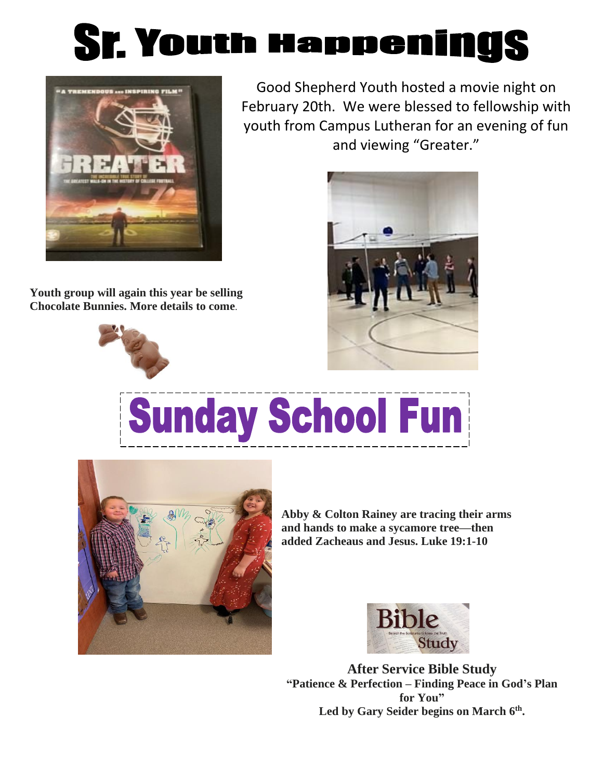



**Youth group will again this year be selling Chocolate Bunnies. More details to come**.



Good Shepherd Youth hosted a movie night on February 20th. We were blessed to fellowship with youth from Campus Lutheran for an evening of fun and viewing "Greater."



## **Sunday School Fun**



**Abby & Colton Rainey are tracing their arms and hands to make a sycamore tree—then added Zacheaus and Jesus. Luke 19:1-10**



**After Service Bible Study "Patience & Perfection – Finding Peace in God's Plan for You"** Led by Gary Seider begins on March 6<sup>th</sup>.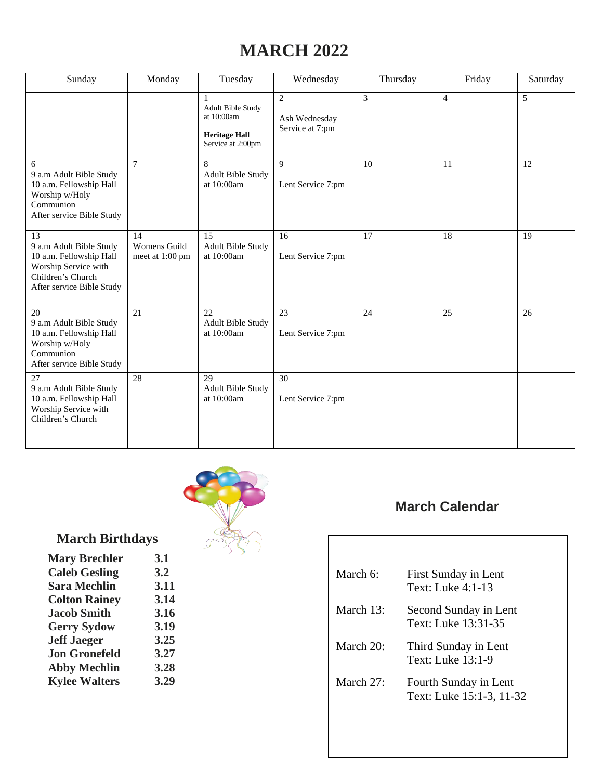## **MARCH 2022**

| Sunday                                                                                                                             | Monday                                | Tuesday                                                                                  | Wednesday                                          | Thursday | Friday         | Saturday |
|------------------------------------------------------------------------------------------------------------------------------------|---------------------------------------|------------------------------------------------------------------------------------------|----------------------------------------------------|----------|----------------|----------|
|                                                                                                                                    |                                       | 1<br><b>Adult Bible Study</b><br>at 10:00am<br><b>Heritage Hall</b><br>Service at 2:00pm | $\overline{c}$<br>Ash Wednesday<br>Service at 7:pm | 3        | $\overline{4}$ | 5        |
| 6<br>9 a.m Adult Bible Study<br>10 a.m. Fellowship Hall<br>Worship w/Holy<br>Communion<br>After service Bible Study                | $\tau$                                | 8<br>Adult Bible Study<br>at 10:00am                                                     | 9<br>Lent Service 7:pm                             | 10       | 11             | 12       |
| 13<br>9 a.m Adult Bible Study<br>10 a.m. Fellowship Hall<br>Worship Service with<br>Children's Church<br>After service Bible Study | 14<br>Womens Guild<br>meet at 1:00 pm | 15<br><b>Adult Bible Study</b><br>at 10:00am                                             | 16<br>Lent Service 7:pm                            | 17       | 18             | 19       |
| 20<br>9 a.m Adult Bible Study<br>10 a.m. Fellowship Hall<br>Worship w/Holy<br>Communion<br>After service Bible Study               | 21                                    | 22<br><b>Adult Bible Study</b><br>at $10:00$ am                                          | 23<br>Lent Service 7:pm                            | 24       | 25             | 26       |
| 27<br>9 a.m Adult Bible Study<br>10 a.m. Fellowship Hall<br>Worship Service with<br>Children's Church                              | 28                                    | 29<br><b>Adult Bible Study</b><br>at $10:00$ am                                          | 30<br>Lent Service 7:pm                            |          |                |          |



## **March Birthdays**

| <b>Mary Brechler</b> | 3.1  |
|----------------------|------|
| <b>Caleb Gesling</b> | 3.2  |
| <b>Sara Mechlin</b>  | 3.11 |
| <b>Colton Rainey</b> | 3.14 |
| <b>Jacob Smith</b>   | 3.16 |
| <b>Gerry Sydow</b>   | 3.19 |
| <b>Jeff Jaeger</b>   | 3.25 |
| <b>Jon Gronefeld</b> | 3.27 |
| <b>Abby Mechlin</b>  | 3.28 |
| <b>Kylee Walters</b> | 3.29 |
|                      |      |

## **March Calendar**

| March $6$ :  | First Sunday in Lent<br>Text: Luke 4:1-13         |
|--------------|---------------------------------------------------|
| March $13$ : | Second Sunday in Lent<br>Text: Luke 13:31-35      |
| March $20$ : | Third Sunday in Lent<br>Text: Luke 13:1-9         |
| March $27$ : | Fourth Sunday in Lent<br>Text: Luke 15:1-3, 11-32 |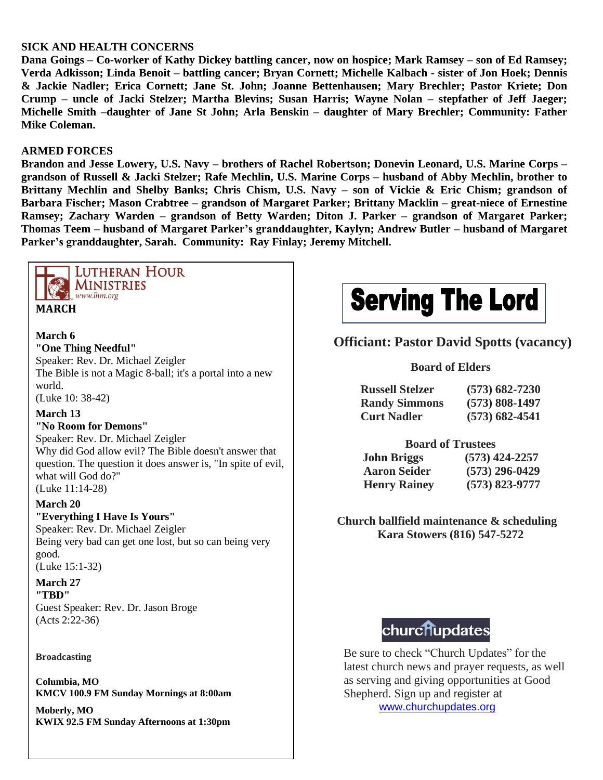#### **SICK AND HEALTH CONCERNS**

**Dana Goings – Co-worker of Kathy Dickey battling cancer, now on hospice; Mark Ramsey – son of Ed Ramsey; Verda Adkisson; Linda Benoit – battling cancer; Bryan Cornett; Michelle Kalbach - sister of Jon Hoek; Dennis & Jackie Nadler; Erica Cornett; Jane St. John; Joanne Bettenhausen; Mary Brechler; Pastor Kriete; Don Crump – uncle of Jacki Stelzer; Martha Blevins; Susan Harris; Wayne Nolan – stepfather of Jeff Jaeger; Michelle Smith –daughter of Jane St John; Arla Benskin – daughter of Mary Brechler; Community: Father Mike Coleman.**

#### **ARMED FORCES**

**Brandon and Jesse Lowery, U.S. Navy – brothers of Rachel Robertson; Donevin Leonard, U.S. Marine Corps – grandson of Russell & Jacki Stelzer; Rafe Mechlin, U.S. Marine Corps – husband of Abby Mechlin, brother to Brittany Mechlin and Shelby Banks; Chris Chism, U.S. Navy – son of Vickie & Eric Chism; grandson of Barbara Fischer; Mason Crabtree – grandson of Margaret Parker; Brittany Macklin – great-niece of Ernestine Ramsey; Zachary Warden – grandson of Betty Warden; Diton J. Parker – grandson of Margaret Parker; Thomas Teem – husband of Margaret Parker's granddaughter, Kaylyn; Andrew Butler – husband of Margaret Parker's granddaughter, Sarah. Community: Ray Finlay; Jeremy Mitchell.**



#### **LUTHERAN HOUR MINISTRIES** www.lhm.org

#### **MARCH**

#### **March 6 "One Thing Needful"**

Speaker: Rev. Dr. Michael Zeigler The Bible is not a Magic 8-ball; it's a portal into a new world.

(Luke 10: 38-42)

#### **March 13**

**"No Room for Demons"** Speaker: Rev. Dr. Michael Zeigler Why did God allow evil? The Bible doesn't answer that question. The question it does answer is, "In spite of evil, what will God do?" (Luke 11:14-28)

#### **March 20**

#### **"Everything I Have Is Yours"**

Speaker: Rev. Dr. Michael Zeigler Being very bad can get one lost, but so can being very good.

(Luke 15:1-32)

#### **March 27 "TBD"**

Guest Speaker: Rev. Dr. Jason Broge (Acts 2:22-36)

#### **Broadcasting**

**Columbia, MO KMCV 100.9 FM Sunday Mornings at 8:00am**

**Moberly, MO KWIX 92.5 FM Sunday Afternoons at 1:30pm**

## 

#### **Officiant: Pastor David Spotts (vacancy)**

#### **Board of Elders**

| <b>Russell Stelzer</b> | $(573) 682 - 7230$ |
|------------------------|--------------------|
| <b>Randy Simmons</b>   | $(573) 808 - 1497$ |
| <b>Curt Nadler</b>     | $(573)$ 682-4541   |

#### **Board of Trustees**

| <b>John Briggs</b>  | $(573)$ 424-2257   |
|---------------------|--------------------|
| <b>Aaron Seider</b> | $(573)$ 296-0429   |
| <b>Henry Rainey</b> | $(573) 823 - 9777$ |

**Church ballfield maintenance & scheduling Kara Stowers (816) 547-5272**

## churchupdates

Be sure to check "Church Updates" for the latest church news and prayer requests, as well as serving and giving opportunities at Good Shepherd. Sign up and register at [www.churchupdates.org](http://www.churchupdates.org/)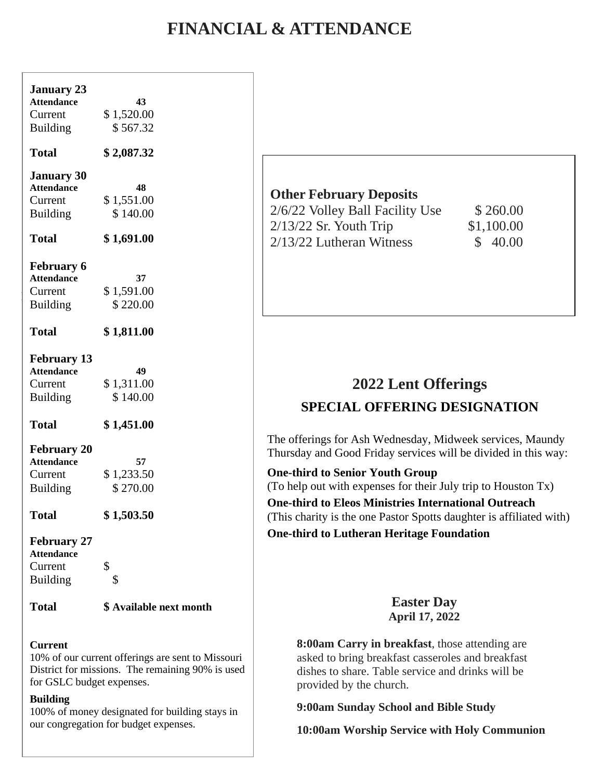## **FINANCIAL & ATTENDANCE**

| <b>January 23</b><br><b>Attendance</b><br>Current<br><b>Building</b>  | 43<br>\$1,520.00<br>\$567.32 |
|-----------------------------------------------------------------------|------------------------------|
| <b>Total</b>                                                          | \$2,087.32                   |
| <b>January 30</b><br><b>Attendance</b><br>Current<br><b>Building</b>  | 48<br>\$1,551.00<br>\$140.00 |
| <b>Total</b>                                                          | \$1,691.00                   |
| <b>February 6</b><br><b>Attendance</b><br>Current<br><b>Building</b>  | 37<br>\$1,591.00<br>\$220.00 |
| <b>Total</b>                                                          | \$1,811.00                   |
| <b>February 13</b><br><b>Attendance</b><br>Current<br><b>Building</b> | 49<br>\$1,311.00<br>\$140.00 |
| <b>Total</b>                                                          | \$1,451.00                   |
| <b>February 20</b><br><b>Attendance</b><br>Current<br><b>Building</b> | 57<br>\$1,233.50<br>\$270.00 |
| <b>Total</b>                                                          | \$1,503.50                   |
| <b>February 27</b><br><b>Attendance</b><br>Current<br><b>Building</b> | \$<br>\$                     |

**Total \$ Available next month**

#### **Current**

10% of our current offerings are sent to Missouri District for missions. The remaining 90% is used for GSLC budget expenses.

#### **Building**

100% of money designated for building stays in our congregation for budget expenses.

#### **Other February Deposits**

2/6/22 Volley Ball Facility Use \$260.00 2/13/22 Sr. Youth Trip \$1,100.00  $2/13/22$  Lutheran Witness  $\qquad$  \$ 40.00

### **2022 Lent Offerings SPECIAL OFFERING DESIGNATION**

The offerings for Ash Wednesday, Midweek services, Maundy Thursday and Good Friday services will be divided in this way:

**One-third to Senior Youth Group** (To help out with expenses for their July trip to Houston Tx)

**One-third to Eleos Ministries International Outreach** (This charity is the one Pastor Spotts daughter is affiliated with) **One-third to Lutheran Heritage Foundation**

#### **Easter Day April 17, 2022**

**8:00am Carry in breakfast**, those attending are asked to bring breakfast casseroles and breakfast dishes to share. Table service and drinks will be provided by the church.

**9:00am Sunday School and Bible Study**

**10:00am Worship Service with Holy Communion**